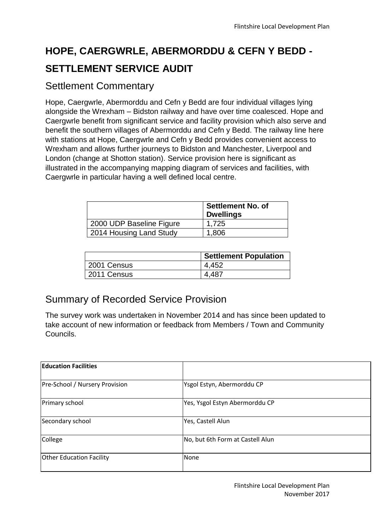# **HOPE, CAERGWRLE, ABERMORDDU & CEFN Y BEDD - SETTLEMENT SERVICE AUDIT**

### Settlement Commentary

Hope, Caergwrle, Abermorddu and Cefn y Bedd are four individual villages lying alongside the Wrexham – Bidston railway and have over time coalesced. Hope and Caergwrle benefit from significant service and facility provision which also serve and benefit the southern villages of Abermorddu and Cefn y Bedd. The railway line here with stations at Hope, Caergwrle and Cefn y Bedd provides convenient access to Wrexham and allows further journeys to Bidston and Manchester, Liverpool and London (change at Shotton station). Service provision here is significant as illustrated in the accompanying mapping diagram of services and facilities, with Caergwrle in particular having a well defined local centre.

|                          | <b>Settlement No. of</b><br><b>Dwellings</b> |
|--------------------------|----------------------------------------------|
| 2000 UDP Baseline Figure | 1,725                                        |
| 2014 Housing Land Study  | 1,806                                        |

|             | <b>Settlement Population</b> |
|-------------|------------------------------|
| 2001 Census | 4.452                        |
| 2011 Census | 4,487                        |

# Summary of Recorded Service Provision

The survey work was undertaken in November 2014 and has since been updated to take account of new information or feedback from Members / Town and Community Councils.

| <b>Education Facilities</b>     |                                  |
|---------------------------------|----------------------------------|
| Pre-School / Nursery Provision  | Ysgol Estyn, Abermorddu CP       |
| Primary school                  | Yes, Ysgol Estyn Abermorddu CP   |
| Secondary school                | Yes, Castell Alun                |
| College                         | No, but 6th Form at Castell Alun |
| <b>Other Education Facility</b> | None                             |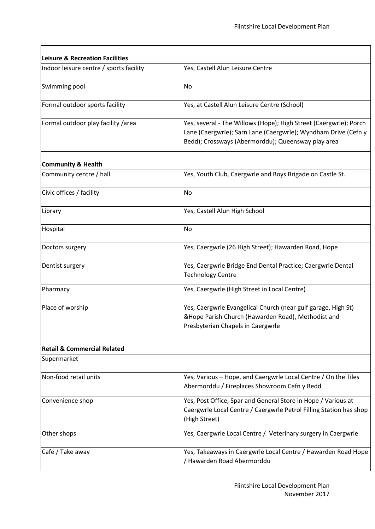| <b>Leisure &amp; Recreation Facilities</b> |                                                                                                                                                                                           |  |
|--------------------------------------------|-------------------------------------------------------------------------------------------------------------------------------------------------------------------------------------------|--|
| Indoor leisure centre / sports facility    | Yes, Castell Alun Leisure Centre                                                                                                                                                          |  |
| Swimming pool                              | No                                                                                                                                                                                        |  |
| Formal outdoor sports facility             | Yes, at Castell Alun Leisure Centre (School)                                                                                                                                              |  |
| Formal outdoor play facility / area        | Yes, several - The Willows (Hope); High Street (Caergwrle); Porch<br>Lane (Caergwrle); Sarn Lane (Caergwrle); Wyndham Drive (Cefn y<br>Bedd); Crossways (Abermorddu); Queensway play area |  |
| <b>Community &amp; Health</b>              |                                                                                                                                                                                           |  |
| Community centre / hall                    | Yes, Youth Club, Caergwrle and Boys Brigade on Castle St.                                                                                                                                 |  |
| Civic offices / facility                   | No                                                                                                                                                                                        |  |
| Library                                    | Yes, Castell Alun High School                                                                                                                                                             |  |
| Hospital                                   | <b>No</b>                                                                                                                                                                                 |  |
| Doctors surgery                            | Yes, Caergwrle (26 High Street); Hawarden Road, Hope                                                                                                                                      |  |
| Dentist surgery                            | Yes, Caergwrle Bridge End Dental Practice; Caergwrle Dental<br><b>Technology Centre</b>                                                                                                   |  |
| Pharmacy                                   | Yes, Caergwrle (High Street in Local Centre)                                                                                                                                              |  |
| Place of worship                           | Yes, Caergwrle Evangelical Church (near gulf garage, High St)<br>&Hope Parish Church (Hawarden Road), Methodist and<br>Presbyterian Chapels in Caergwrle                                  |  |
| <b>Retail &amp; Commercial Related</b>     |                                                                                                                                                                                           |  |
| Supermarket                                |                                                                                                                                                                                           |  |
| Non-food retail units                      | Yes, Various - Hope, and Caergwrle Local Centre / On the Tiles<br>Abermorddu / Fireplaces Showroom Cefn y Bedd                                                                            |  |
| Convenience shop                           | Yes, Post Office, Spar and General Store in Hope / Various at<br>Caergwrle Local Centre / Caergwrle Petrol Filling Station has shop<br>(High Street)                                      |  |
| Other shops                                | Yes, Caergwrle Local Centre / Veterinary surgery in Caergwrle                                                                                                                             |  |
| Café / Take away                           | Yes, Takeaways in Caergwrle Local Centre / Hawarden Road Hope                                                                                                                             |  |

/ Hawarden Road Abermorddu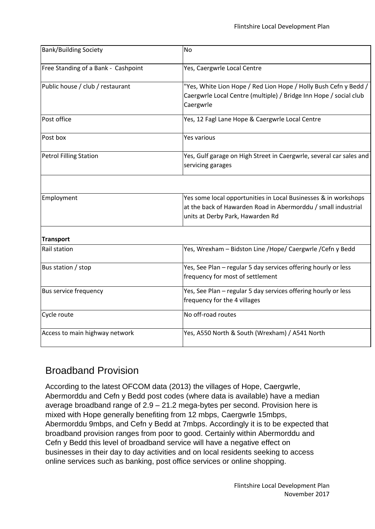| <b>Bank/Building Society</b>        | <b>No</b>                                                                                                                                                            |
|-------------------------------------|----------------------------------------------------------------------------------------------------------------------------------------------------------------------|
| Free Standing of a Bank - Cashpoint | Yes, Caergwrle Local Centre                                                                                                                                          |
| Public house / club / restaurant    | "Yes, White Lion Hope / Red Lion Hope / Holly Bush Cefn y Bedd /<br>Caergwrle Local Centre (multiple) / Bridge Inn Hope / social club<br>Caergwrle                   |
| Post office                         | Yes, 12 Fagl Lane Hope & Caergwrle Local Centre                                                                                                                      |
| Post box                            | Yes various                                                                                                                                                          |
| Petrol Filling Station              | Yes, Gulf garage on High Street in Caergwrle, several car sales and<br>servicing garages                                                                             |
|                                     |                                                                                                                                                                      |
| Employment                          | Yes some local opportunities in Local Businesses & in workshops<br>at the back of Hawarden Road in Abermorddu / small industrial<br>units at Derby Park, Hawarden Rd |
| <b>Transport</b>                    |                                                                                                                                                                      |
| Rail station                        | Yes, Wrexham - Bidston Line /Hope/ Caergwrle /Cefn y Bedd                                                                                                            |
| Bus station / stop                  | Yes, See Plan - regular 5 day services offering hourly or less<br>frequency for most of settlement                                                                   |
| <b>Bus service frequency</b>        | Yes, See Plan - regular 5 day services offering hourly or less<br>frequency for the 4 villages                                                                       |
| Cycle route                         | No off-road routes                                                                                                                                                   |
| Access to main highway network      | Yes, A550 North & South (Wrexham) / A541 North                                                                                                                       |

#### Broadband Provision

According to the latest OFCOM data (2013) the villages of Hope, Caergwrle, Abermorddu and Cefn y Bedd post codes (where data is available) have a median average broadband range of 2.9 – 21.2 mega-bytes per second. Provision here is mixed with Hope generally benefiting from 12 mbps, Caergwrle 15mbps, Abermorddu 9mbps, and Cefn y Bedd at 7mbps. Accordingly it is to be expected that broadband provision ranges from poor to good. Certainly within Abermorddu and Cefn y Bedd this level of broadband service will have a negative effect on businesses in their day to day activities and on local residents seeking to access online services such as banking, post office services or online shopping.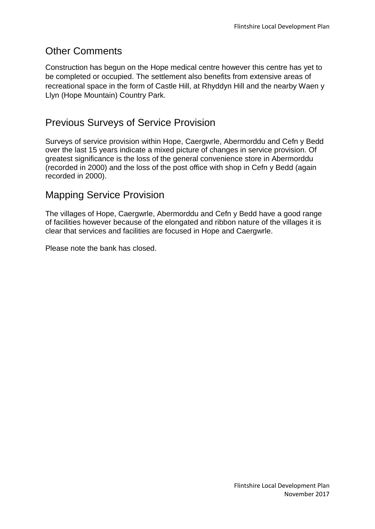#### Other Comments

Construction has begun on the Hope medical centre however this centre has yet to be completed or occupied. The settlement also benefits from extensive areas of recreational space in the form of Castle Hill, at Rhyddyn Hill and the nearby Waen y Llyn (Hope Mountain) Country Park.

## Previous Surveys of Service Provision

Surveys of service provision within Hope, Caergwrle, Abermorddu and Cefn y Bedd over the last 15 years indicate a mixed picture of changes in service provision. Of greatest significance is the loss of the general convenience store in Abermorddu (recorded in 2000) and the loss of the post office with shop in Cefn y Bedd (again recorded in 2000).

#### Mapping Service Provision

The villages of Hope, Caergwrle, Abermorddu and Cefn y Bedd have a good range of facilities however because of the elongated and ribbon nature of the villages it is clear that services and facilities are focused in Hope and Caergwrle.

Please note the bank has closed.